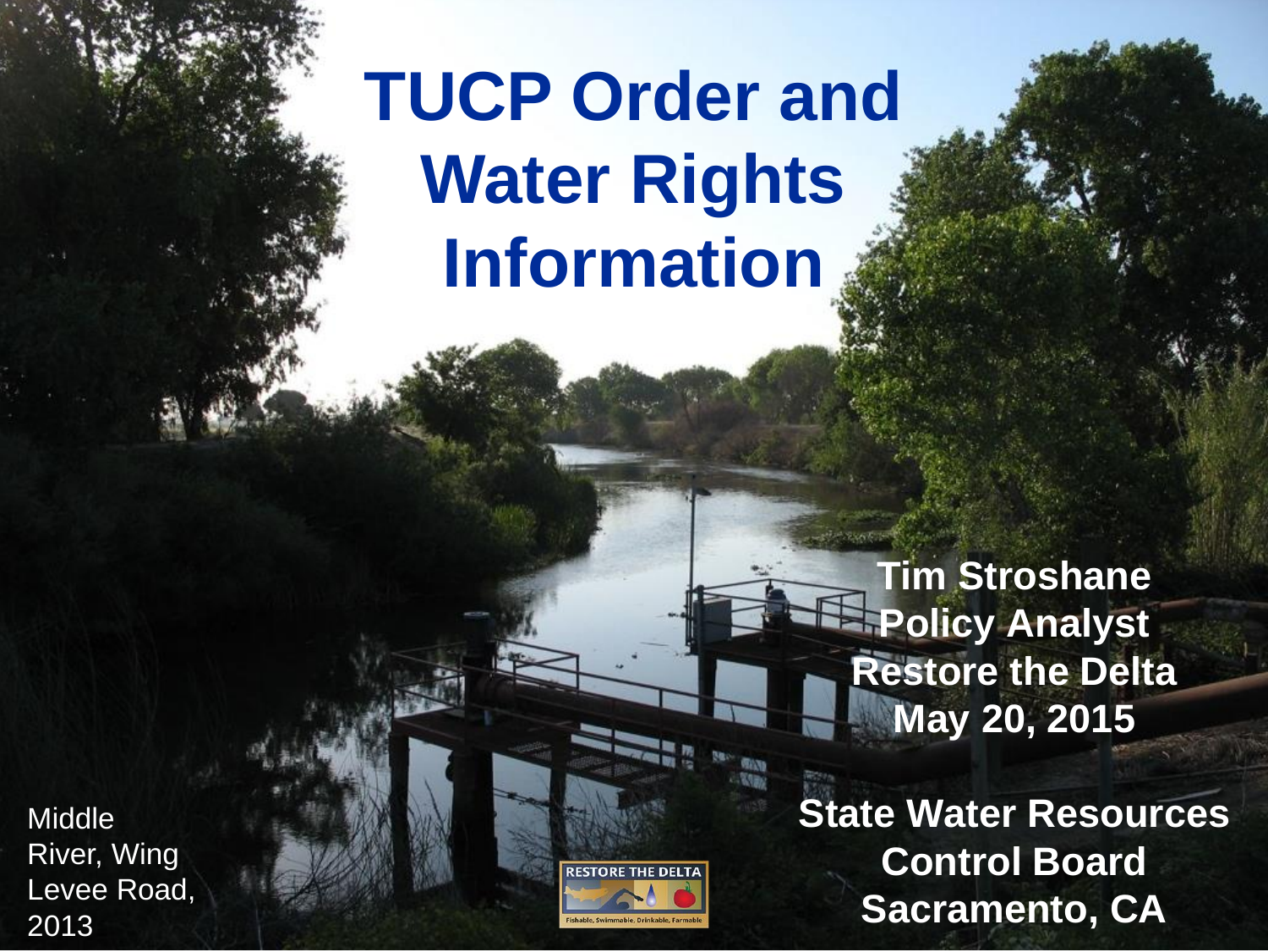### **TUCP Order and Water Rights Information**

**Tim Stroshane Policy Analyst Restore the Delta May 20, 2015**

**State Water Resources Control Board Sacramento, CA**

**Middle** River, Wing Levee Road, 2013

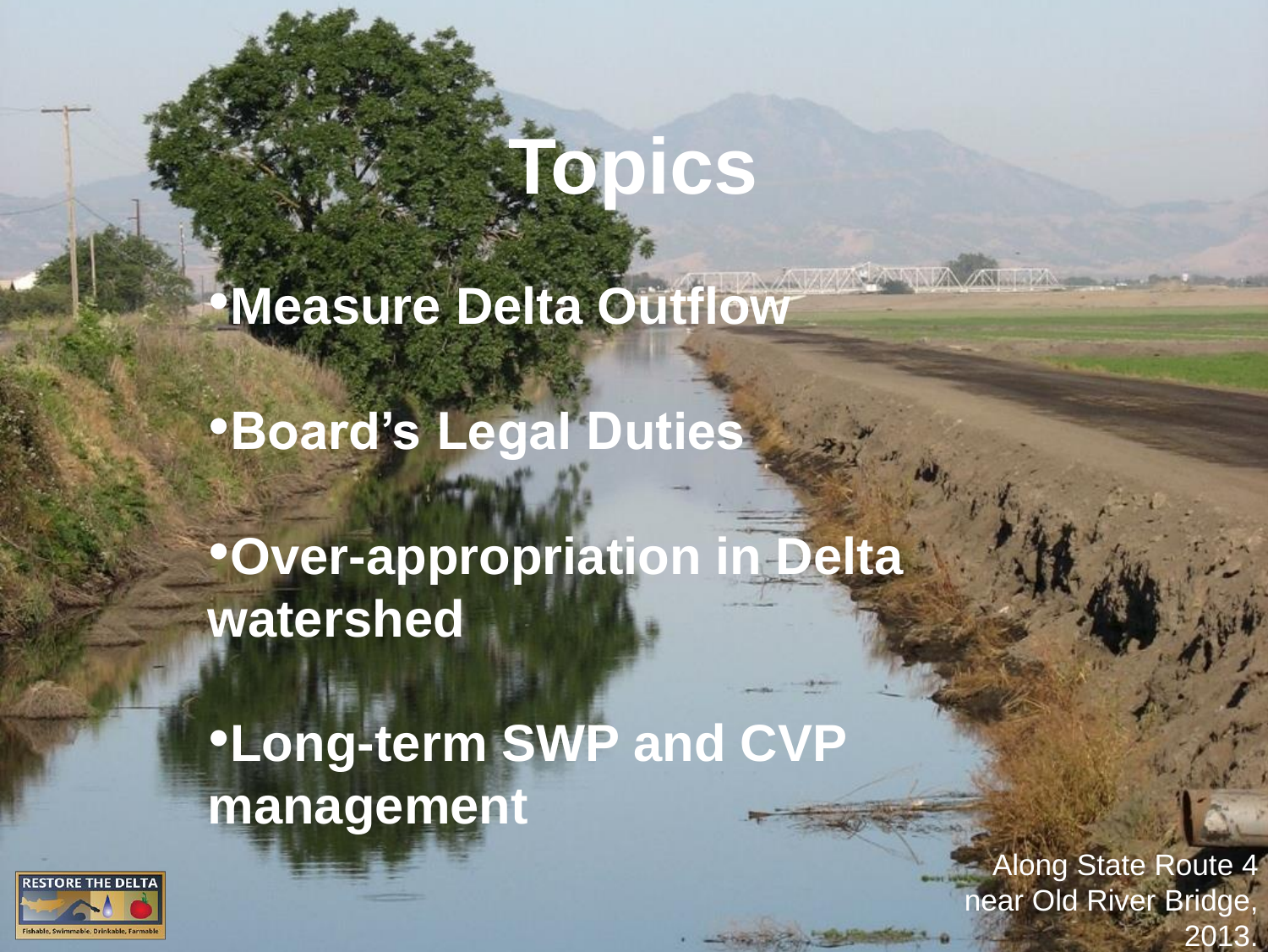## **Topics**

•**Measure Delta Outflow**

•**Board's Legal Duties**

•**Over-appropriation in Delta watershed**

•**Long-term SWP and CVP management**



Along State Route 4 near Old River Bridge, 2013.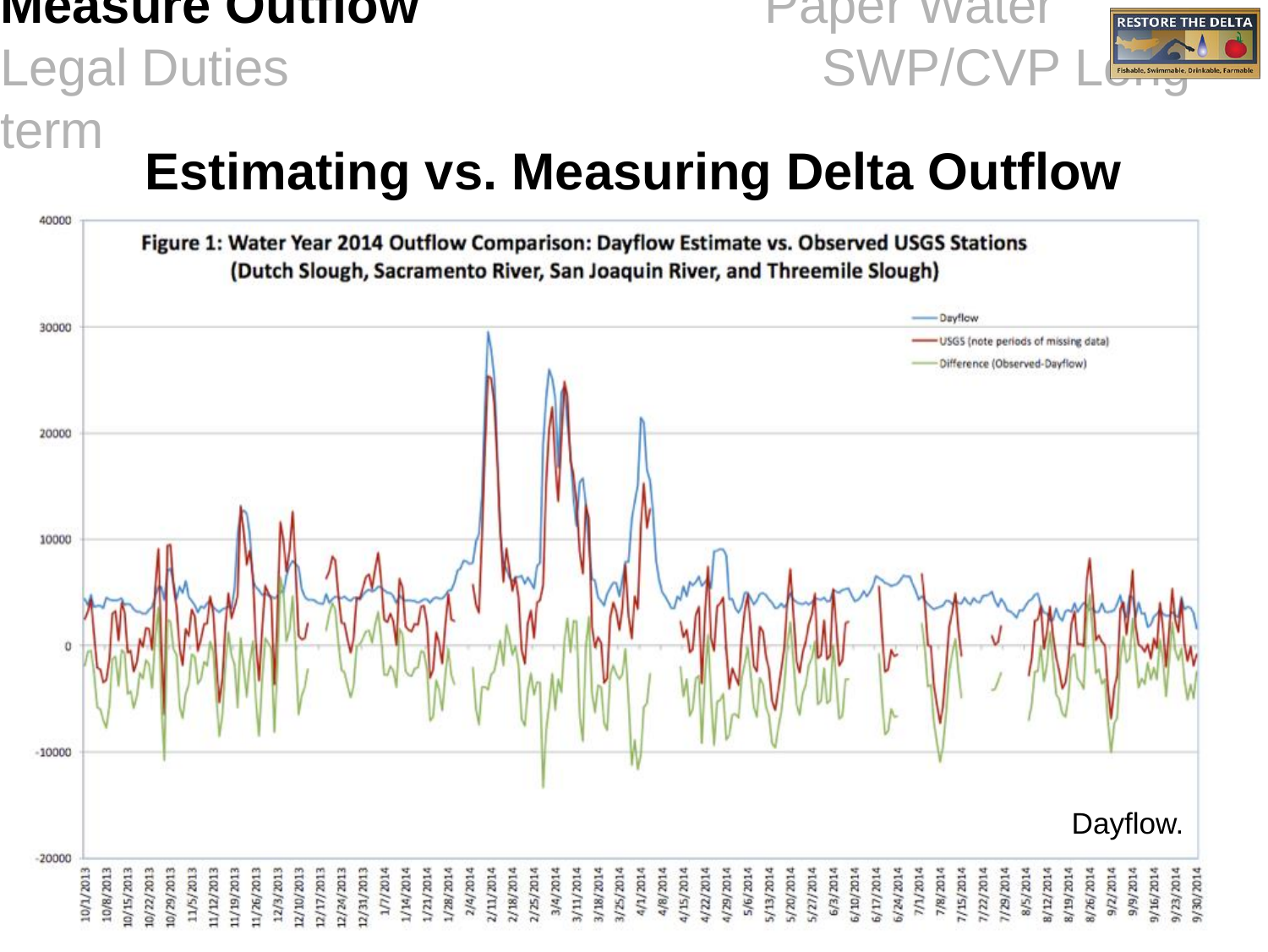#### **Measure Outflow** Paper Water

#### Legal Duties SWP/CVP

term



#### **Estimating vs. Measuring Delta Outflow**

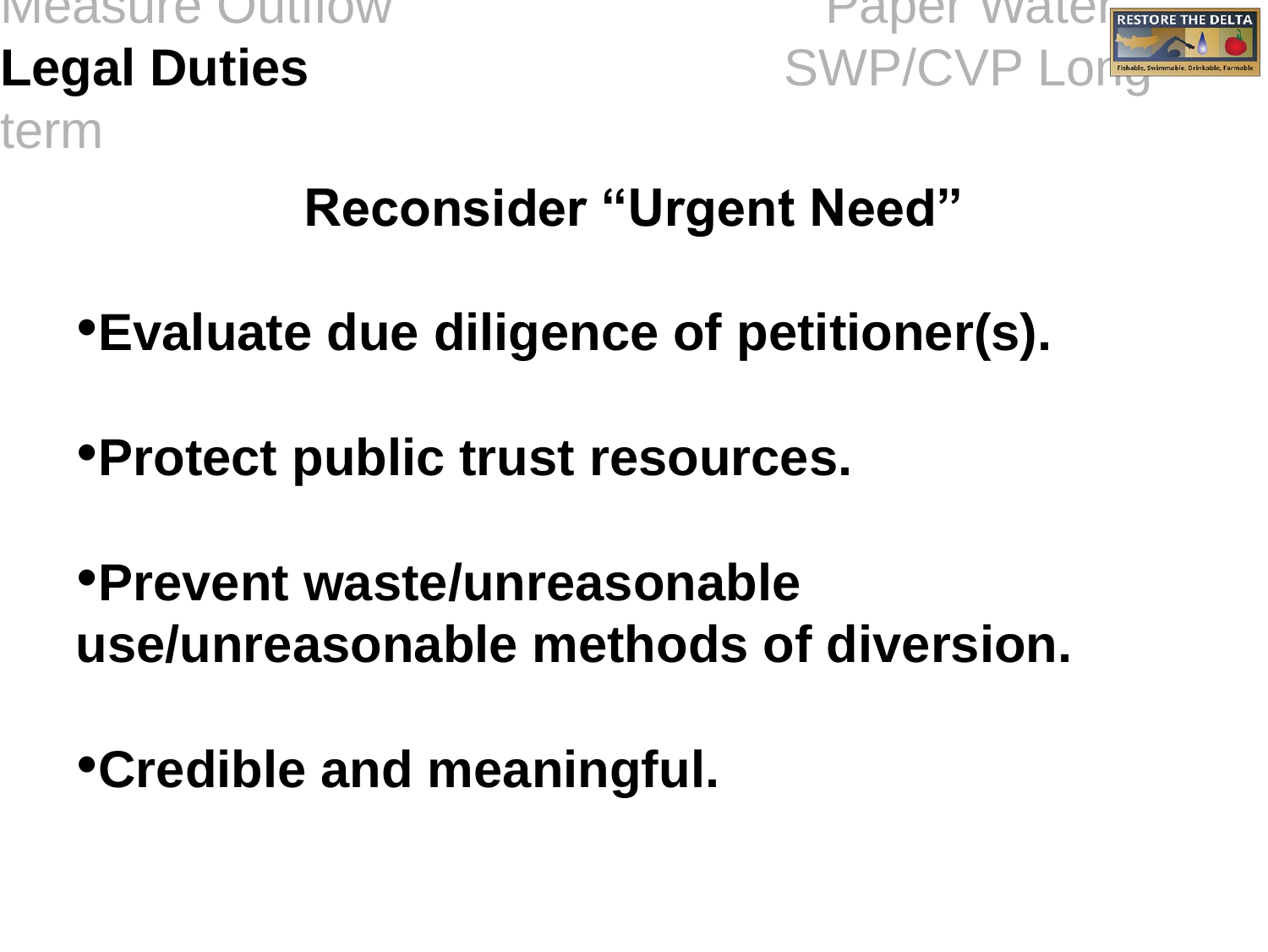# term



#### **Reconsider "Urgent Need"**

- •**Evaluate due diligence of petitioner(s).**
- •**Protect public trust resources.**
- •**Prevent waste/unreasonable use/unreasonable methods of diversion.**
- •**Credible and meaningful.**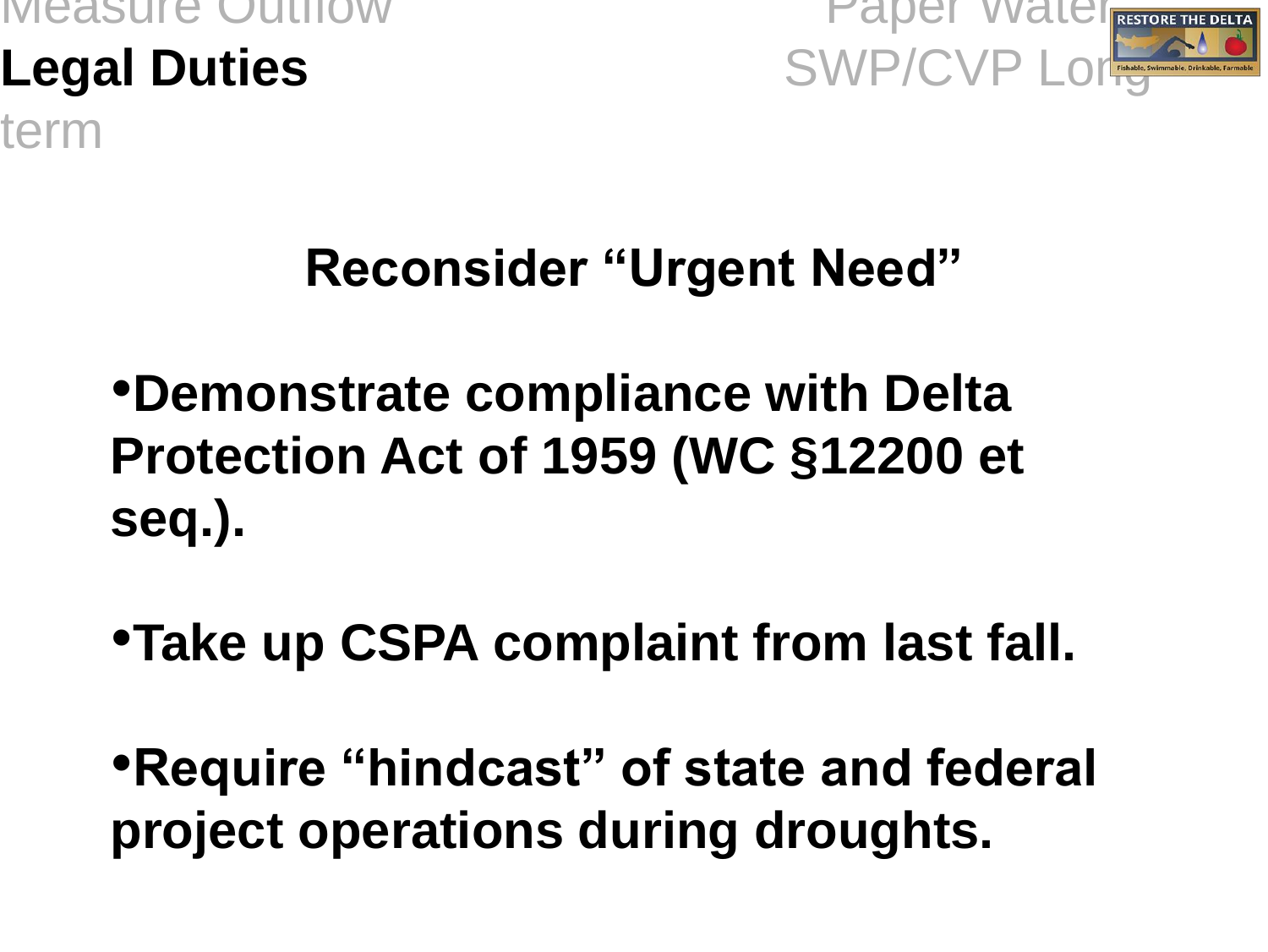term



#### **Reconsider "Urgent Need"**

•**Demonstrate compliance with Delta Protection Act of 1959 (WC §12200 et seq.).**

•**Take up CSPA complaint from last fall.**

•**Require "hindcast" of state and federal project operations during droughts.**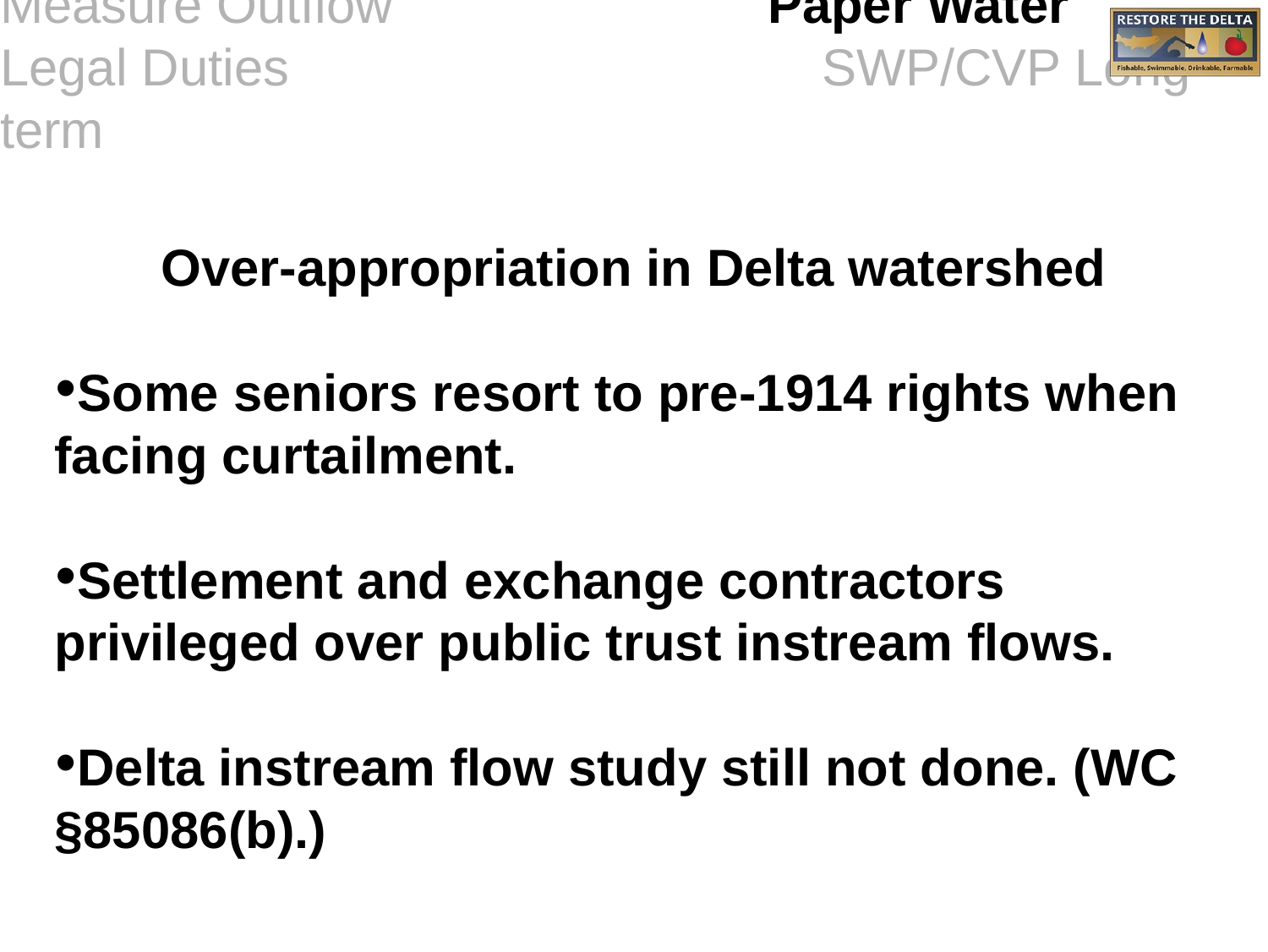Measure Outflow **Paper Water** Legal Duties SWP/CVP LE TEINDER SWP/CVP LONG AND THE TREAD CONTROL CONTROL CONTROL CONTROL CONTROL CONTROL CONTROL CONTROL CONTROL CONTROL CONTROL CONTROL CONTROL CONTROL CONTROL CONTROL CONTROL CONTROL CONTROL CONTROL CON term





#### **Over-appropriation in Delta watershed**

- •**Some seniors resort to pre-1914 rights when facing curtailment.**
- •**Settlement and exchange contractors privileged over public trust instream flows.**
- •**Delta instream flow study still not done. (WC §85086(b).)**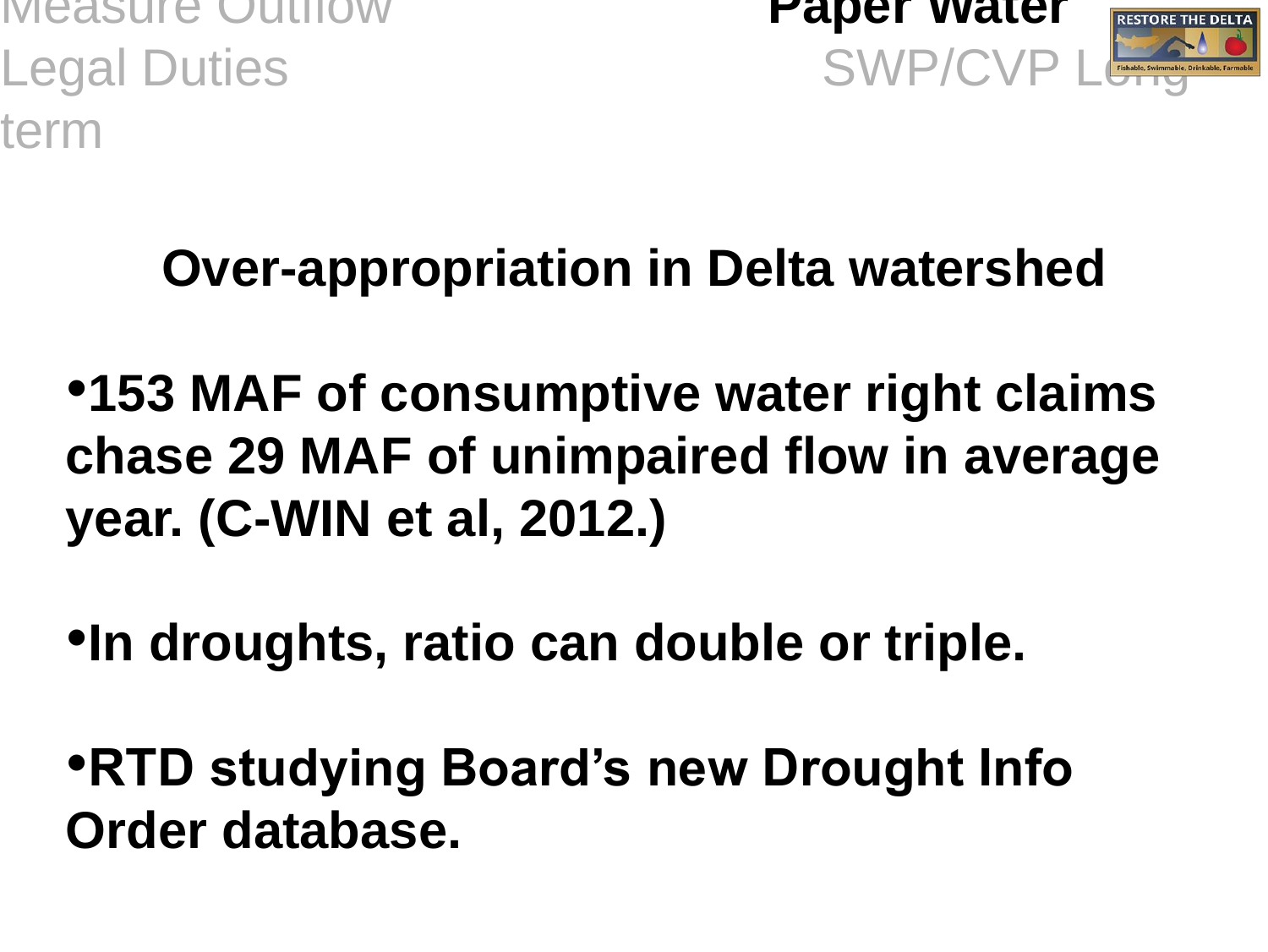Measure Outflow **Paper Water** Legal Duties SWP/CVP LE TEINDIE, SWIMMAR term





#### **Over-appropriation in Delta watershed**

•**153 MAF of consumptive water right claims chase 29 MAF of unimpaired flow in average year. (C-WIN et al, 2012.)**

•**In droughts, ratio can double or triple.**

•**RTD studying Board's new Drought Info Order database.**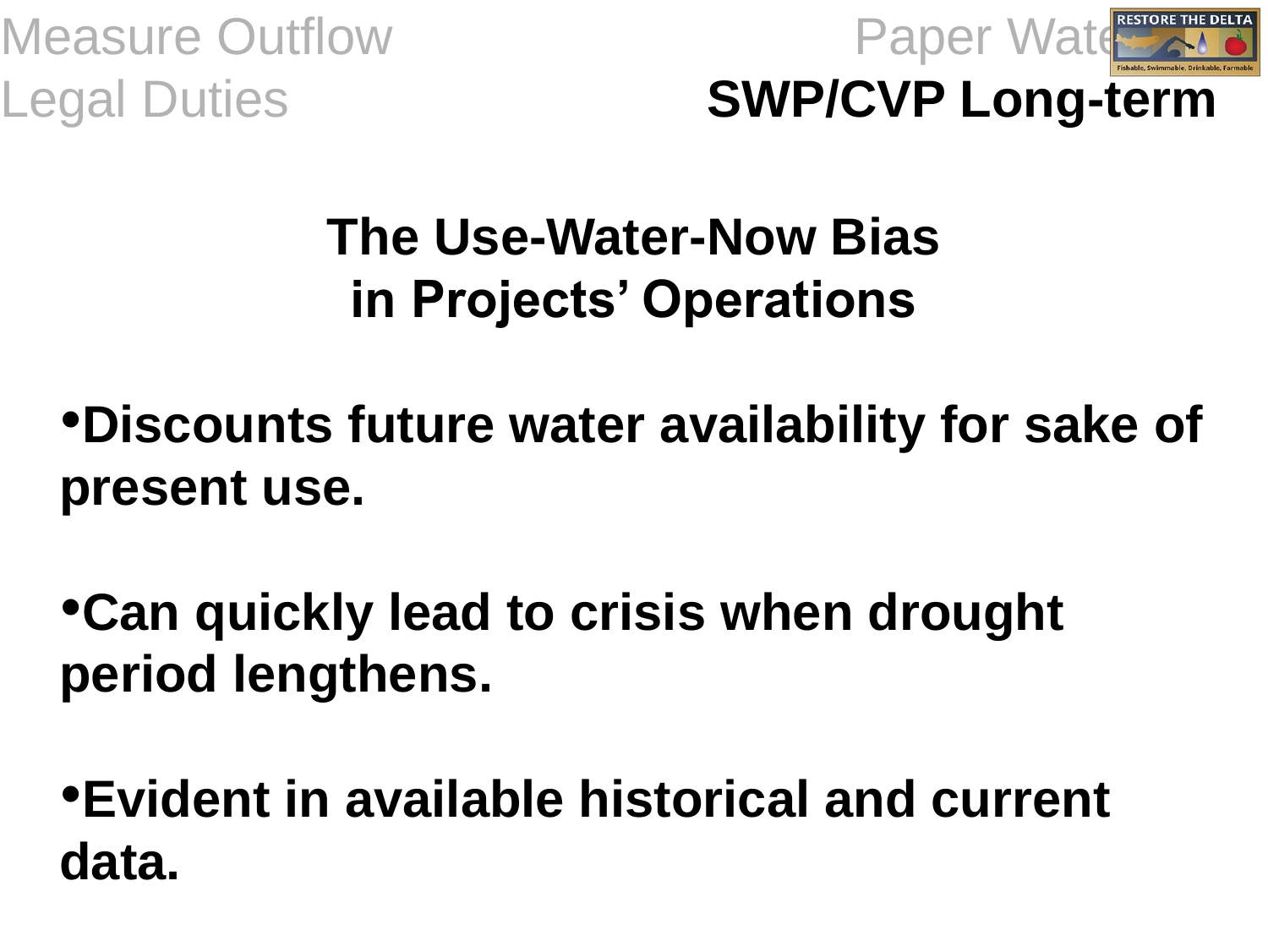Measure Outflow Paper Water





#### **The Use-Water-Now Bias in Projects' Operations**

- •**Discounts future water availability for sake of present use.**
- •**Can quickly lead to crisis when drought period lengthens.**
- •**Evident in available historical and current data.**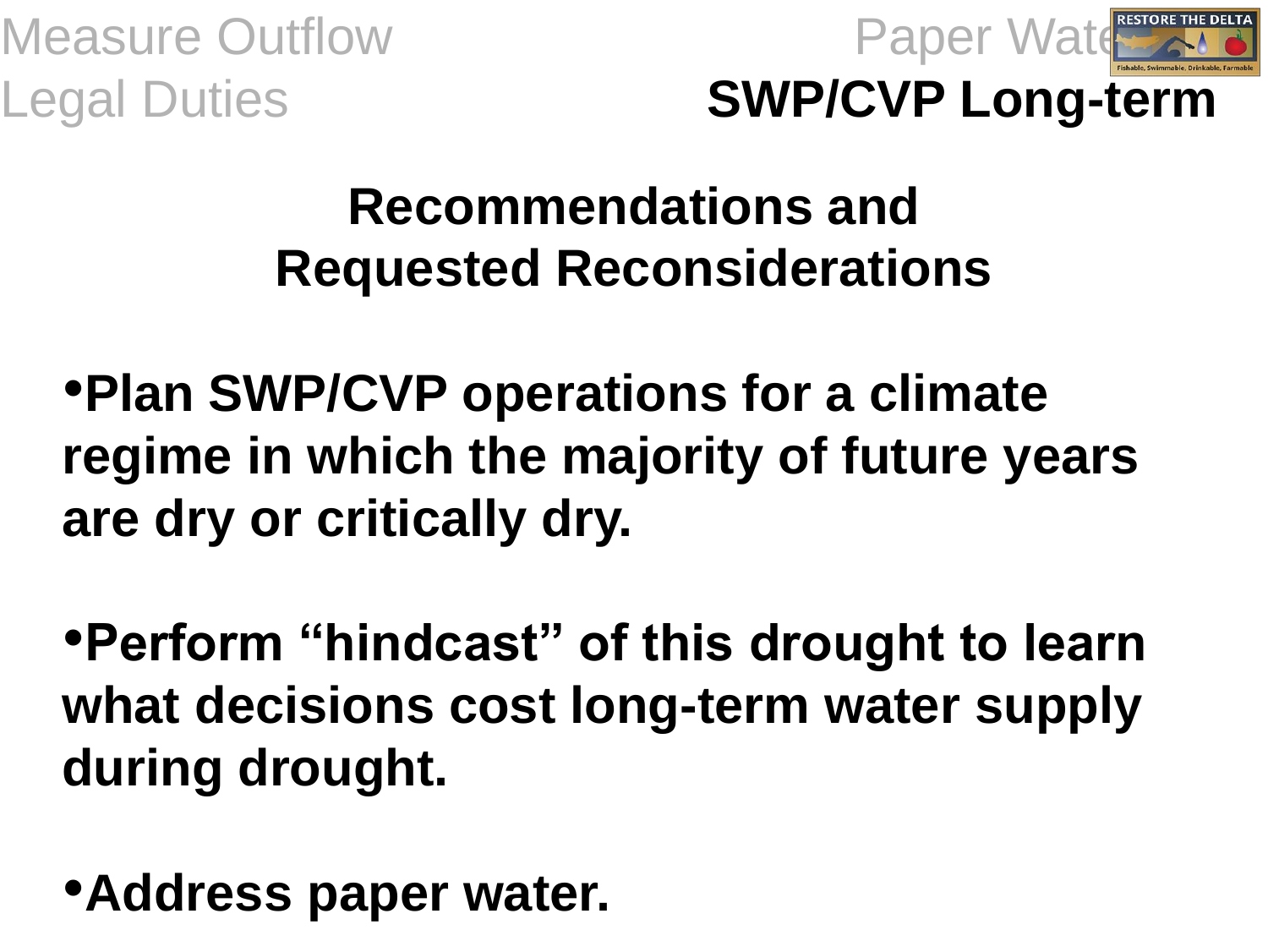Measure Outflow Paper Water



Legal Duties **SWP/CVP Long-term**

#### **Recommendations and Requested Reconsiderations**

•**Plan SWP/CVP operations for a climate regime in which the majority of future years are dry or critically dry.**

•**Perform "hindcast" of this drought to learn what decisions cost long-term water supply during drought.**

•**Address paper water.**